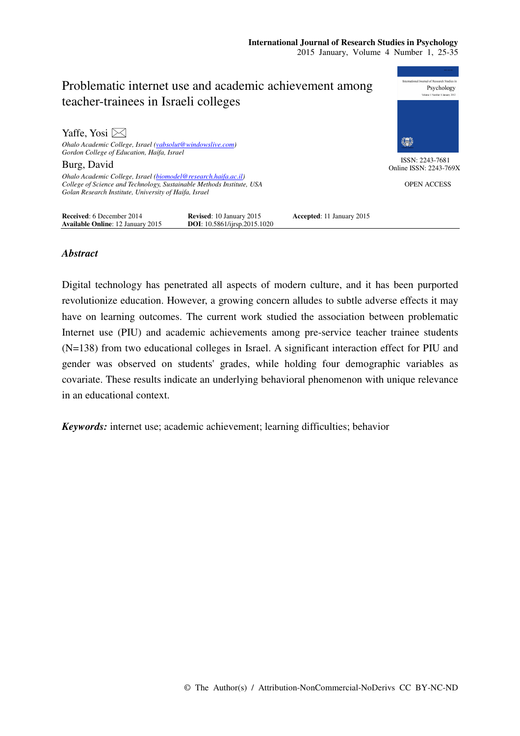

## *Abstract*

Digital technology has penetrated all aspects of modern culture, and it has been purported revolutionize education. However, a growing concern alludes to subtle adverse effects it may have on learning outcomes. The current work studied the association between problematic Internet use (PIU) and academic achievements among pre-service teacher trainee students (N=138) from two educational colleges in Israel. A significant interaction effect for PIU and gender was observed on students' grades, while holding four demographic variables as covariate. These results indicate an underlying behavioral phenomenon with unique relevance in an educational context.

*Keywords:* internet use; academic achievement; learning difficulties; behavior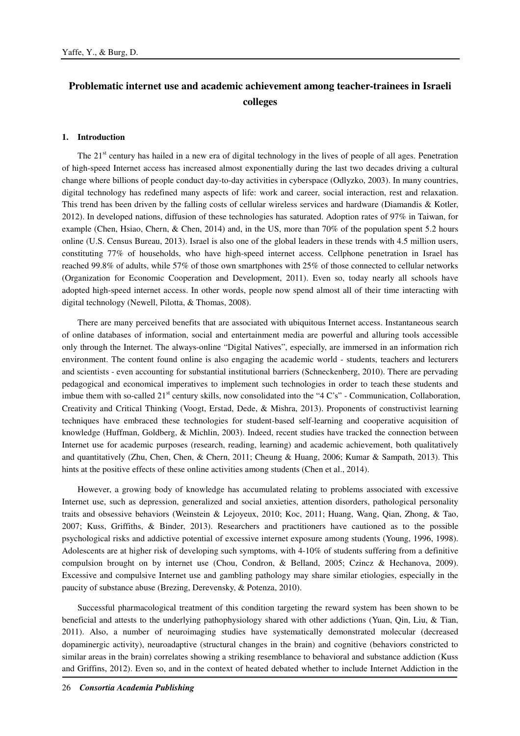# **Problematic internet use and academic achievement among teacher-trainees in Israeli colleges**

#### **1. Introduction**

The  $21<sup>st</sup>$  century has hailed in a new era of digital technology in the lives of people of all ages. Penetration of high-speed Internet access has increased almost exponentially during the last two decades driving a cultural change where billions of people conduct day-to-day activities in cyberspace (Odlyzko, 2003). In many countries, digital technology has redefined many aspects of life: work and career, social interaction, rest and relaxation. This trend has been driven by the falling costs of cellular wireless services and hardware (Diamandis & Kotler, 2012). In developed nations, diffusion of these technologies has saturated. Adoption rates of 97% in Taiwan, for example (Chen, Hsiao, Chern, & Chen, 2014) and, in the US, more than 70% of the population spent 5.2 hours online (U.S. Census Bureau, 2013). Israel is also one of the global leaders in these trends with 4.5 million users, constituting 77% of households, who have high-speed internet access. Cellphone penetration in Israel has reached 99.8% of adults, while 57% of those own smartphones with 25% of those connected to cellular networks (Organization for Economic Cooperation and Development, 2011). Even so, today nearly all schools have adopted high-speed internet access. In other words, people now spend almost all of their time interacting with digital technology (Newell, Pilotta, & Thomas, 2008).

There are many perceived benefits that are associated with ubiquitous Internet access. Instantaneous search of online databases of information, social and entertainment media are powerful and alluring tools accessible only through the Internet. The always-online "Digital Natives", especially, are immersed in an information rich environment. The content found online is also engaging the academic world - students, teachers and lecturers and scientists - even accounting for substantial institutional barriers (Schneckenberg, 2010). There are pervading pedagogical and economical imperatives to implement such technologies in order to teach these students and imbue them with so-called  $21<sup>st</sup>$  century skills, now consolidated into the "4 C's" - Communication, Collaboration, Creativity and Critical Thinking (Voogt, Erstad, Dede, & Mishra, 2013). Proponents of constructivist learning techniques have embraced these technologies for student-based self-learning and cooperative acquisition of knowledge (Huffman, Goldberg, & Michlin, 2003). Indeed, recent studies have tracked the connection between Internet use for academic purposes (research, reading, learning) and academic achievement, both qualitatively and quantitatively (Zhu, Chen, Chen, & Chern, 2011; Cheung & Huang, 2006; Kumar & Sampath, 2013). This hints at the positive effects of these online activities among students (Chen et al., 2014).

However, a growing body of knowledge has accumulated relating to problems associated with excessive Internet use, such as depression, generalized and social anxieties, attention disorders, pathological personality traits and obsessive behaviors (Weinstein & Lejoyeux, 2010; Koc, 2011; Huang, Wang, Qian, Zhong, & Tao, 2007; Kuss, Griffiths, & Binder, 2013). Researchers and practitioners have cautioned as to the possible psychological risks and addictive potential of excessive internet exposure among students (Young, 1996, 1998). Adolescents are at higher risk of developing such symptoms, with 4-10% of students suffering from a definitive compulsion brought on by internet use (Chou, Condron, & Belland, 2005; Czincz & Hechanova, 2009). Excessive and compulsive Internet use and gambling pathology may share similar etiologies, especially in the paucity of substance abuse (Brezing, Derevensky, & Potenza, 2010).

Successful pharmacological treatment of this condition targeting the reward system has been shown to be beneficial and attests to the underlying pathophysiology shared with other addictions (Yuan, Qin, Liu, & Tian, 2011). Also, a number of neuroimaging studies have systematically demonstrated molecular (decreased dopaminergic activity), neuroadaptive (structural changes in the brain) and cognitive (behaviors constricted to similar areas in the brain) correlates showing a striking resemblance to behavioral and substance addiction (Kuss and Griffins, 2012). Even so, and in the context of heated debated whether to include Internet Addiction in the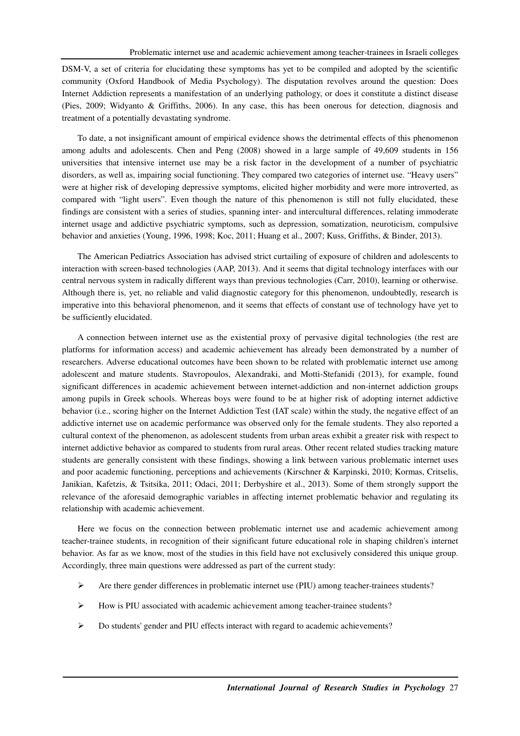DSM-V, a set of criteria for elucidating these symptoms has yet to be compiled and adopted by the scientific community (Oxford Handbook of Media Psychology). The disputation revolves around the question: Does Internet Addiction represents a manifestation of an underlying pathology, or does it constitute a distinct disease (Pies, 2009; Widyanto & Griffiths, 2006). In any case, this has been onerous for detection, diagnosis and treatment of a potentially devastating syndrome.

To date, a not insignificant amount of empirical evidence shows the detrimental effects of this phenomenon among adults and adolescents. Chen and Peng (2008) showed in a large sample of 49,609 students in 156 universities that intensive internet use may be a risk factor in the development of a number of psychiatric disorders, as well as, impairing social functioning. They compared two categories of internet use. "Heavy users" were at higher risk of developing depressive symptoms, elicited higher morbidity and were more introverted, as compared with "light users". Even though the nature of this phenomenon is still not fully elucidated, these findings are consistent with a series of studies, spanning inter- and intercultural differences, relating immoderate internet usage and addictive psychiatric symptoms, such as depression, somatization, neuroticism, compulsive behavior and anxieties (Young, 1996, 1998; Koc, 2011; Huang et al., 2007; Kuss, Griffiths, & Binder, 2013).

The American Pediatrics Association has advised strict curtailing of exposure of children and adolescents to interaction with screen-based technologies (AAP, 2013). And it seems that digital technology interfaces with our central nervous system in radically different ways than previous technologies (Carr, 2010), learning or otherwise. Although there is, yet, no reliable and valid diagnostic category for this phenomenon, undoubtedly, research is imperative into this behavioral phenomenon, and it seems that effects of constant use of technology have yet to be sufficiently elucidated.

A connection between internet use as the existential proxy of pervasive digital technologies (the rest are platforms for information access) and academic achievement has already been demonstrated by a number of researchers. Adverse educational outcomes have been shown to be related with problematic internet use among adolescent and mature students. Stavropoulos, Alexandraki, and Motti-Stefanidi (2013), for example, found significant differences in academic achievement between internet-addiction and non-internet addiction groups among pupils in Greek schools. Whereas boys were found to be at higher risk of adopting internet addictive behavior (i.e., scoring higher on the Internet Addiction Test (IAT scale) within the study, the negative effect of an addictive internet use on academic performance was observed only for the female students. They also reported a cultural context of the phenomenon, as adolescent students from urban areas exhibit a greater risk with respect to internet addictive behavior as compared to students from rural areas. Other recent related studies tracking mature students are generally consistent with these findings, showing a link between various problematic internet uses and poor academic functioning, perceptions and achievements (Kirschner & Karpinski, 2010; Kormas, Critselis, Janikian, Kafetzis, & Tsitsika, 2011; Odaci, 2011; Derbyshire et al., 2013). Some of them strongly support the relevance of the aforesaid demographic variables in affecting internet problematic behavior and regulating its relationship with academic achievement.

Here we focus on the connection between problematic internet use and academic achievement among teacher-trainee students, in recognition of their significant future educational role in shaping children's internet behavior. As far as we know, most of the studies in this field have not exclusively considered this unique group. Accordingly, three main questions were addressed as part of the current study:

- Are there gender differences in problematic internet use (PIU) among teacher-trainees students?
- How is PIU associated with academic achievement among teacher-trainee students?
- Do students' gender and PIU effects interact with regard to academic achievements?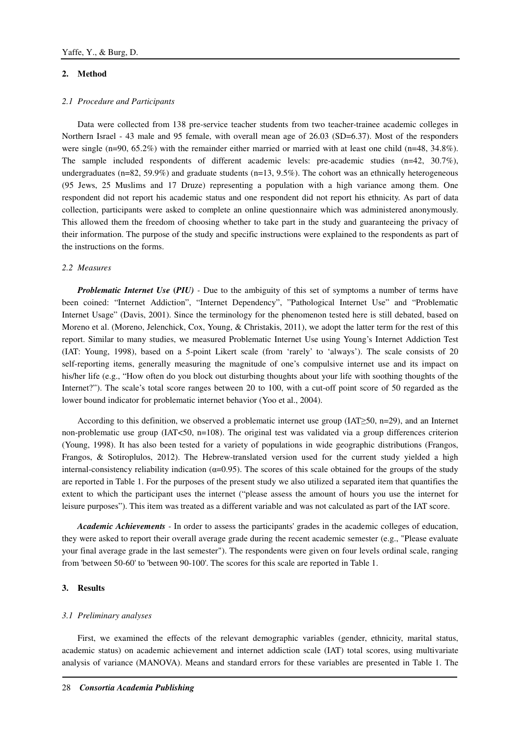### **2. Method**

#### *2.1 Procedure and Participants*

Data were collected from 138 pre-service teacher students from two teacher-trainee academic colleges in Northern Israel - 43 male and 95 female, with overall mean age of 26.03 (SD=6.37). Most of the responders were single (n=90, 65.2%) with the remainder either married or married with at least one child (n=48, 34.8%). The sample included respondents of different academic levels: pre-academic studies (n=42, 30.7%), undergraduates (n=82, 59.9%) and graduate students (n=13, 9.5%). The cohort was an ethnically heterogeneous (95 Jews, 25 Muslims and 17 Druze) representing a population with a high variance among them. One respondent did not report his academic status and one respondent did not report his ethnicity. As part of data collection, participants were asked to complete an online questionnaire which was administered anonymously. This allowed them the freedom of choosing whether to take part in the study and guaranteeing the privacy of their information. The purpose of the study and specific instructions were explained to the respondents as part of the instructions on the forms.

#### *2.2 Measures*

*Problematic Internet Use* **(***PIU) -* Due to the ambiguity of this set of symptoms a number of terms have been coined: "Internet Addiction", "Internet Dependency", "Pathological Internet Use" and "Problematic Internet Usage" (Davis, 2001). Since the terminology for the phenomenon tested here is still debated, based on Moreno et al. (Moreno, Jelenchick, Cox, Young, & Christakis, 2011), we adopt the latter term for the rest of this report. Similar to many studies, we measured Problematic Internet Use using Young's Internet Addiction Test (IAT: Young, 1998), based on a 5-point Likert scale (from 'rarely' to 'always'). The scale consists of 20 self-reporting items, generally measuring the magnitude of one's compulsive internet use and its impact on his/her life (e.g., "How often do you block out disturbing thoughts about your life with soothing thoughts of the Internet?"). The scale's total score ranges between 20 to 100, with a cut-off point score of 50 regarded as the lower bound indicator for problematic internet behavior (Yoo et al., 2004).

According to this definition, we observed a problematic internet use group (IAT≥50, n=29), and an Internet non-problematic use group (IAT<50, n=108). The original test was validated via a group differences criterion (Young, 1998). It has also been tested for a variety of populations in wide geographic distributions (Frangos, Frangos, & Sotiroplulos, 2012). The Hebrew-translated version used for the current study yielded a high internal-consistency reliability indication  $(\alpha=0.95)$ . The scores of this scale obtained for the groups of the study are reported in Table 1. For the purposes of the present study we also utilized a separated item that quantifies the extent to which the participant uses the internet ("please assess the amount of hours you use the internet for leisure purposes"). This item was treated as a different variable and was not calculated as part of the IAT score.

*Academic Achievements -* In order to assess the participants' grades in the academic colleges of education, they were asked to report their overall average grade during the recent academic semester (e.g., "Please evaluate your final average grade in the last semester"). The respondents were given on four levels ordinal scale, ranging from 'between 50-60' to 'between 90-100'. The scores for this scale are reported in Table 1.

#### **3. Results**

#### *3.1 Preliminary analyses*

First, we examined the effects of the relevant demographic variables (gender, ethnicity, marital status, academic status) on academic achievement and internet addiction scale (IAT) total scores, using multivariate analysis of variance (MANOVA). Means and standard errors for these variables are presented in Table 1. The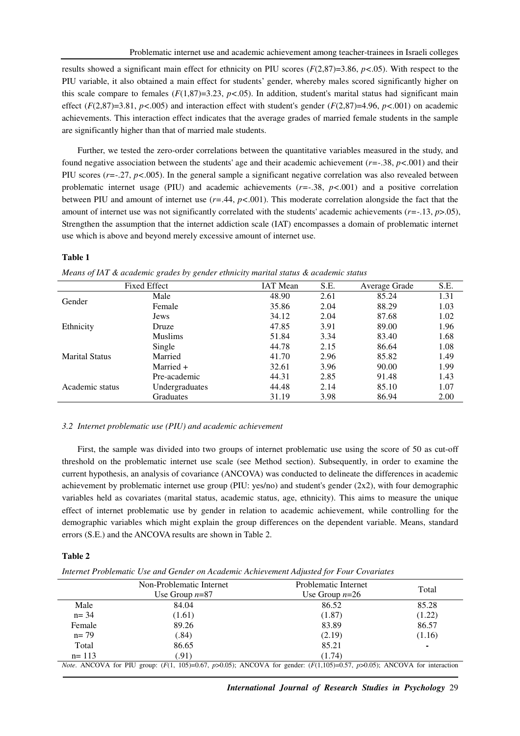results showed a significant main effect for ethnicity on PIU scores (*F*(2,87)=3.86, *p<*.05). With respect to the PIU variable, it also obtained a main effect for students' gender, whereby males scored significantly higher on this scale compare to females  $(F(1,87)=3.23, p<0.05)$ . In addition, student's marital status had significant main effect (*F*(2,87)=3.81, *p<*.005) and interaction effect with student's gender (*F*(2,87)=4.96, *p<*.001) on academic achievements. This interaction effect indicates that the average grades of married female students in the sample are significantly higher than that of married male students.

Further, we tested the zero-order correlations between the quantitative variables measured in the study, and found negative association between the students' age and their academic achievement (*r=*-.38, *p<*.001) and their PIU scores  $(r=-.27, p<.005)$ . In the general sample a significant negative correlation was also revealed between problematic internet usage (PIU) and academic achievements (*r=*-.38, *p<*.001) and a positive correlation between PIU and amount of internet use (*r=*.44, *p<*.001). This moderate correlation alongside the fact that the amount of internet use was not significantly correlated with the students' academic achievements (*r=*-.13, *p*>.05), Strengthen the assumption that the internet addiction scale (IAT) encompasses a domain of problematic internet use which is above and beyond merely excessive amount of internet use.

#### **Table 1**

| <b>Fixed Effect</b>   |                  | <b>IAT</b> Mean | S.E. | Average Grade | S.E. |
|-----------------------|------------------|-----------------|------|---------------|------|
| Gender                | Male             | 48.90           | 2.61 | 85.24         | 1.31 |
|                       | Female           | 35.86           | 2.04 | 88.29         | 1.03 |
| Ethnicity             | <b>Jews</b>      | 34.12           | 2.04 | 87.68         | 1.02 |
|                       | Druze            | 47.85           | 3.91 | 89.00         | 1.96 |
|                       | <b>Muslims</b>   | 51.84           | 3.34 | 83.40         | 1.68 |
| <b>Marital Status</b> | Single           | 44.78           | 2.15 | 86.64         | 1.08 |
|                       | Married          | 41.70           | 2.96 | 85.82         | 1.49 |
|                       | Married +        | 32.61           | 3.96 | 90.00         | 1.99 |
| Academic status       | Pre-academic     | 44.31           | 2.85 | 91.48         | 1.43 |
|                       | Undergraduates   | 44.48           | 2.14 | 85.10         | 1.07 |
|                       | <b>Graduates</b> | 31.19           | 3.98 | 86.94         | 2.00 |

*Means of IAT & academic grades by gender ethnicity marital status & academic status* 

#### *3.2 Internet problematic use (PIU) and academic achievement*

First, the sample was divided into two groups of internet problematic use using the score of 50 as cut-off threshold on the problematic internet use scale (see Method section). Subsequently, in order to examine the current hypothesis, an analysis of covariance (ANCOVA) was conducted to delineate the differences in academic achievement by problematic internet use group (PIU: yes/no) and student's gender (2x2), with four demographic variables held as covariates (marital status, academic status, age, ethnicity). This aims to measure the unique effect of internet problematic use by gender in relation to academic achievement, while controlling for the demographic variables which might explain the group differences on the dependent variable. Means, standard errors (S.E.) and the ANCOVA results are shown in Table 2.

#### **Table 2**

*Internet Problematic Use and Gender on Academic Achievement Adjusted for Four Covariates* 

|           | Non-Problematic Internet<br>Use Group $n=87$                                                                                          | Problematic Internet<br>Use Group $n=26$ | Total          |
|-----------|---------------------------------------------------------------------------------------------------------------------------------------|------------------------------------------|----------------|
| Male      | 84.04                                                                                                                                 | 86.52                                    | 85.28          |
| $n = 34$  | (1.61)                                                                                                                                | (1.87)                                   | (1.22)         |
| Female    | 89.26                                                                                                                                 | 83.89                                    | 86.57          |
| $n = 79$  | (.84)                                                                                                                                 | (2.19)                                   | (1.16)         |
| Total     | 86.65                                                                                                                                 | 85.21                                    | $\blacksquare$ |
| $n = 113$ | (.91)                                                                                                                                 | (1.74)                                   |                |
|           | <i>Note.</i> ANCOVA for PIU group: $(F(1, 105)=0.67, p>0.05)$ ; ANCOVA for gender: $(F(1,105)=0.57, p>0.05)$ ; ANCOVA for interaction |                                          |                |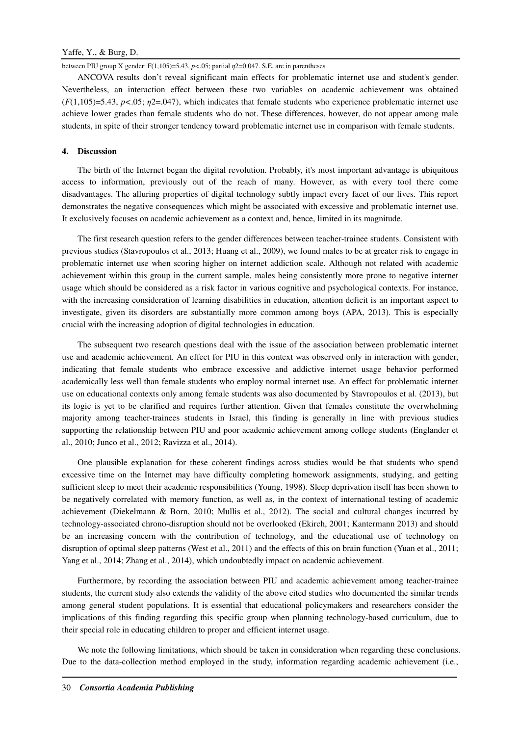between PIU group X gender:  $F(1,105)=5.43$ ,  $p<.05$ ; partial  $\eta$ 2=0.047. S.E. are in parentheses

ANCOVA results don't reveal significant main effects for problematic internet use and student's gender. Nevertheless, an interaction effect between these two variables on academic achievement was obtained  $(F(1,105)=5.43, p<0.05; \eta=2.047)$ , which indicates that female students who experience problematic internet use achieve lower grades than female students who do not. These differences, however, do not appear among male students, in spite of their stronger tendency toward problematic internet use in comparison with female students.

#### **4. Discussion**

The birth of the Internet began the digital revolution. Probably, it's most important advantage is ubiquitous access to information, previously out of the reach of many. However, as with every tool there come disadvantages. The alluring properties of digital technology subtly impact every facet of our lives. This report demonstrates the negative consequences which might be associated with excessive and problematic internet use. It exclusively focuses on academic achievement as a context and, hence, limited in its magnitude.

The first research question refers to the gender differences between teacher-trainee students. Consistent with previous studies (Stavropoulos et al., 2013; Huang et al., 2009), we found males to be at greater risk to engage in problematic internet use when scoring higher on internet addiction scale. Although not related with academic achievement within this group in the current sample, males being consistently more prone to negative internet usage which should be considered as a risk factor in various cognitive and psychological contexts. For instance, with the increasing consideration of learning disabilities in education, attention deficit is an important aspect to investigate, given its disorders are substantially more common among boys (APA, 2013). This is especially crucial with the increasing adoption of digital technologies in education.

The subsequent two research questions deal with the issue of the association between problematic internet use and academic achievement. An effect for PIU in this context was observed only in interaction with gender, indicating that female students who embrace excessive and addictive internet usage behavior performed academically less well than female students who employ normal internet use. An effect for problematic internet use on educational contexts only among female students was also documented by Stavropoulos et al. (2013), but its logic is yet to be clarified and requires further attention. Given that females constitute the overwhelming majority among teacher-trainees students in Israel, this finding is generally in line with previous studies supporting the relationship between PIU and poor academic achievement among college students (Englander et al., 2010; Junco et al., 2012; Ravizza et al., 2014).

One plausible explanation for these coherent findings across studies would be that students who spend excessive time on the Internet may have difficulty completing homework assignments, studying, and getting sufficient sleep to meet their academic responsibilities (Young, 1998). Sleep deprivation itself has been shown to be negatively correlated with memory function, as well as, in the context of international testing of academic achievement (Diekelmann & Born, 2010; Mullis et al., 2012). The social and cultural changes incurred by technology-associated chrono-disruption should not be overlooked (Ekirch, 2001; Kantermann 2013) and should be an increasing concern with the contribution of technology, and the educational use of technology on disruption of optimal sleep patterns (West et al., 2011) and the effects of this on brain function (Yuan et al., 2011; Yang et al., 2014; Zhang et al., 2014), which undoubtedly impact on academic achievement.

Furthermore, by recording the association between PIU and academic achievement among teacher-trainee students, the current study also extends the validity of the above cited studies who documented the similar trends among general student populations. It is essential that educational policymakers and researchers consider the implications of this finding regarding this specific group when planning technology-based curriculum, due to their special role in educating children to proper and efficient internet usage.

We note the following limitations, which should be taken in consideration when regarding these conclusions. Due to the data-collection method employed in the study, information regarding academic achievement (i.e.,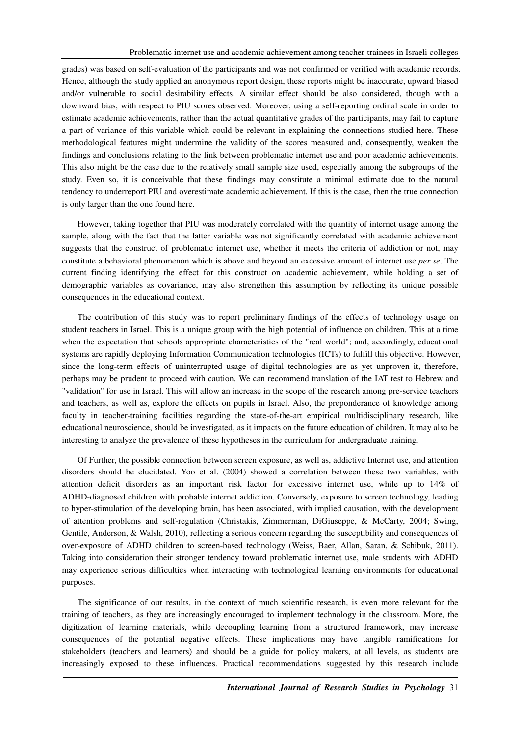grades) was based on self-evaluation of the participants and was not confirmed or verified with academic records. Hence, although the study applied an anonymous report design, these reports might be inaccurate, upward biased and/or vulnerable to social desirability effects. A similar effect should be also considered, though with a downward bias, with respect to PIU scores observed. Moreover, using a self-reporting ordinal scale in order to estimate academic achievements, rather than the actual quantitative grades of the participants, may fail to capture a part of variance of this variable which could be relevant in explaining the connections studied here. These methodological features might undermine the validity of the scores measured and, consequently, weaken the findings and conclusions relating to the link between problematic internet use and poor academic achievements. This also might be the case due to the relatively small sample size used, especially among the subgroups of the study. Even so, it is conceivable that these findings may constitute a minimal estimate due to the natural tendency to underreport PIU and overestimate academic achievement. If this is the case, then the true connection is only larger than the one found here.

However, taking together that PIU was moderately correlated with the quantity of internet usage among the sample, along with the fact that the latter variable was not significantly correlated with academic achievement suggests that the construct of problematic internet use, whether it meets the criteria of addiction or not, may constitute a behavioral phenomenon which is above and beyond an excessive amount of internet use *per se*. The current finding identifying the effect for this construct on academic achievement, while holding a set of demographic variables as covariance, may also strengthen this assumption by reflecting its unique possible consequences in the educational context.

The contribution of this study was to report preliminary findings of the effects of technology usage on student teachers in Israel. This is a unique group with the high potential of influence on children. This at a time when the expectation that schools appropriate characteristics of the "real world"; and, accordingly, educational systems are rapidly deploying Information Communication technologies (ICTs) to fulfill this objective. However, since the long-term effects of uninterrupted usage of digital technologies are as yet unproven it, therefore, perhaps may be prudent to proceed with caution. We can recommend translation of the IAT test to Hebrew and "validation" for use in Israel. This will allow an increase in the scope of the research among pre-service teachers and teachers, as well as, explore the effects on pupils in Israel. Also, the preponderance of knowledge among faculty in teacher-training facilities regarding the state-of-the-art empirical multidisciplinary research, like educational neuroscience, should be investigated, as it impacts on the future education of children. It may also be interesting to analyze the prevalence of these hypotheses in the curriculum for undergraduate training.

Of Further, the possible connection between screen exposure, as well as, addictive Internet use, and attention disorders should be elucidated. Yoo et al. (2004) showed a correlation between these two variables, with attention deficit disorders as an important risk factor for excessive internet use, while up to 14% of ADHD-diagnosed children with probable internet addiction. Conversely, exposure to screen technology, leading to hyper-stimulation of the developing brain, has been associated, with implied causation, with the development of attention problems and self-regulation (Christakis, Zimmerman, DiGiuseppe, & McCarty, 2004; Swing, Gentile, Anderson, & Walsh, 2010), reflecting a serious concern regarding the susceptibility and consequences of over-exposure of ADHD children to screen-based technology (Weiss, Baer, Allan, Saran, & Schibuk, 2011). Taking into consideration their stronger tendency toward problematic internet use, male students with ADHD may experience serious difficulties when interacting with technological learning environments for educational purposes.

The significance of our results, in the context of much scientific research, is even more relevant for the training of teachers, as they are increasingly encouraged to implement technology in the classroom. More, the digitization of learning materials, while decoupling learning from a structured framework, may increase consequences of the potential negative effects. These implications may have tangible ramifications for stakeholders (teachers and learners) and should be a guide for policy makers, at all levels, as students are increasingly exposed to these influences. Practical recommendations suggested by this research include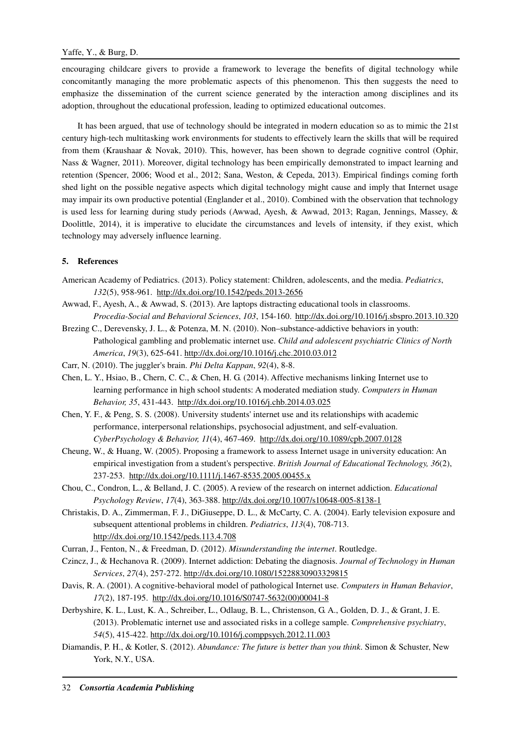encouraging childcare givers to provide a framework to leverage the benefits of digital technology while concomitantly managing the more problematic aspects of this phenomenon. This then suggests the need to emphasize the dissemination of the current science generated by the interaction among disciplines and its adoption, throughout the educational profession, leading to optimized educational outcomes.

It has been argued, that use of technology should be integrated in modern education so as to mimic the 21st century high-tech multitasking work environments for students to effectively learn the skills that will be required from them (Kraushaar & Novak, 2010). This, however, has been shown to degrade cognitive control (Ophir, Nass & Wagner, 2011). Moreover, digital technology has been empirically demonstrated to impact learning and retention (Spencer, 2006; Wood et al., 2012; Sana, Weston, & Cepeda, 2013). Empirical findings coming forth shed light on the possible negative aspects which digital technology might cause and imply that Internet usage may impair its own productive potential (Englander et al., 2010). Combined with the observation that technology is used less for learning during study periods (Awwad, Ayesh, & Awwad, 2013; Ragan, Jennings, Massey, & Doolittle, 2014), it is imperative to elucidate the circumstances and levels of intensity, if they exist, which technology may adversely influence learning.

## **5. References**

- American Academy of Pediatrics. (2013). Policy statement: Children, adolescents, and the media. *Pediatrics*, *132*(5), 958-961. http://dx.doi.org/10.1542/peds.2013-2656
- Awwad, F., Ayesh, A., & Awwad, S. (2013). Are laptops distracting educational tools in classrooms. *Procedia-Social and Behavioral Sciences*, *103*, 154-160. http://dx.doi.org/10.1016/j.sbspro.2013.10.320
- Brezing C., Derevensky, J. L., & Potenza, M. N. (2010). Non–substance-addictive behaviors in youth: Pathological gambling and problematic internet use. *Child and adolescent psychiatric Clinics of North America*, *19*(3), 625-641. http://dx.doi.org/10.1016/j.chc.2010.03.012
- Carr, N. (2010). The juggler's brain. *Phi Delta Kappan*, *92*(4), 8-8.
- Chen, L. Y., Hsiao, B., Chern, C. C., & Chen, H. G. (2014). Affective mechanisms linking Internet use to learning performance in high school students: A moderated mediation study. *Computers in Human Behavior, 35*, 431-443. http://dx.doi.org/10.1016/j.chb.2014.03.025
- Chen, Y. F., & Peng, S. S. (2008). University students' internet use and its relationships with academic performance, interpersonal relationships, psychosocial adjustment, and self-evaluation. *CyberPsychology & Behavior, 11*(4), 467-469. http://dx.doi.org/10.1089/cpb.2007.0128
- Cheung, W., & Huang, W. (2005). Proposing a framework to assess Internet usage in university education: An empirical investigation from a student's perspective. *British Journal of Educational Technology, 36*(2), 237-253. http://dx.doi.org/10.1111/j.1467-8535.2005.00455.x
- Chou, C., Condron, L., & Belland, J. C. (2005). A review of the research on internet addiction. *Educational Psychology Review*, *17*(4), 363-388. http://dx.doi.org/10.1007/s10648-005-8138-1
- Christakis, D. A., Zimmerman, F. J., DiGiuseppe, D. L., & McCarty, C. A. (2004). Early television exposure and subsequent attentional problems in children. *Pediatrics*, *113*(4), 708-713. http://dx.doi.org/10.1542/peds.113.4.708
- Curran, J., Fenton, N., & Freedman, D. (2012). *Misunderstanding the internet*. Routledge.
- Czincz, J., & Hechanova R. (2009). Internet addiction: Debating the diagnosis. *Journal of Technology in Human Services*, *27*(4), 257-272. http://dx.doi.org/10.1080/15228830903329815
- Davis, R. A. (2001). A cognitive-behavioral model of pathological Internet use. *Computers in Human Behavior*, *17*(2), 187-195. http://dx.doi.org/10.1016/S0747-5632(00)00041-8
- Derbyshire, K. L., Lust, K. A., Schreiber, L., Odlaug, B. L., Christenson, G. A., Golden, D. J., & Grant, J. E. (2013). Problematic internet use and associated risks in a college sample. *Comprehensive psychiatry*, *54*(5), 415-422. http://dx.doi.org/10.1016/j.comppsych.2012.11.003
- Diamandis, P. H., & Kotler, S. (2012). *Abundance: The future is better than you think*. Simon & Schuster, New York, N.Y., USA.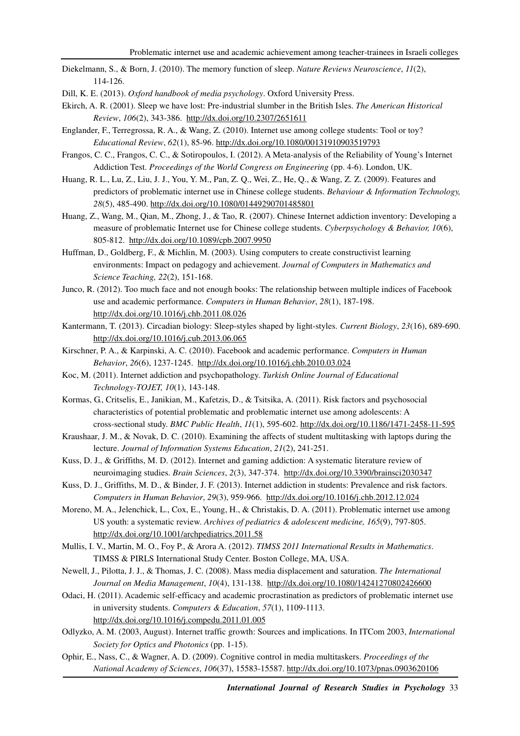Diekelmann, S., & Born, J. (2010). The memory function of sleep. *Nature Reviews Neuroscience*, *11*(2), 114-126.

Dill, K. E. (2013). *Oxford handbook of media psychology*. Oxford University Press.

- Ekirch, A. R. (2001). Sleep we have lost: Pre-industrial slumber in the British Isles. *The American Historical Review*, *106*(2), 343-386. http://dx.doi.org/10.2307/2651611
- Englander, F., Terregrossa, R. A., & Wang, Z. (2010). Internet use among college students: Tool or toy? *Educational Review*, *62*(1), 85-96. http://dx.doi.org/10.1080/00131910903519793
- Frangos, C. C., Frangos, C. C., & Sotiropoulos, I. (2012). A Meta-analysis of the Reliability of Young's Internet Addiction Test. *Proceedings of the World Congress on Engineering* (pp. 4-6). London, UK.
- Huang, R. L., Lu, Z., Liu, J. J., You, Y. M., Pan, Z. Q., Wei, Z., He, Q., & Wang, Z. Z. (2009). Features and predictors of problematic internet use in Chinese college students. *Behaviour & Information Technology, 28*(5), 485-490. http://dx.doi.org/10.1080/01449290701485801
- Huang, Z., Wang, M., Qian, M., Zhong, J., & Tao, R. (2007). Chinese Internet addiction inventory: Developing a measure of problematic Internet use for Chinese college students. *Cyberpsychology & Behavior, 10*(6), 805-812. http://dx.doi.org/10.1089/cpb.2007.9950
- Huffman, D., Goldberg, F., & Michlin, M. (2003). Using computers to create constructivist learning environments: Impact on pedagogy and achievement. *Journal of Computers in Mathematics and Science Teaching, 22*(2), 151-168.
- Junco, R. (2012). Too much face and not enough books: The relationship between multiple indices of Facebook use and academic performance. *Computers in Human Behavior*, *28*(1), 187-198. http://dx.doi.org/10.1016/j.chb.2011.08.026
- Kantermann, T. (2013). Circadian biology: Sleep-styles shaped by light-styles. *Current Biology*, *23*(16), 689-690. http://dx.doi.org/10.1016/j.cub.2013.06.065
- Kirschner, P. A., & Karpinski, A. C. (2010). Facebook and academic performance. *Computers in Human Behavior*, *26*(6), 1237-1245. http://dx.doi.org/10.1016/j.chb.2010.03.024
- Koc, M. (2011). Internet addiction and psychopathology. *Turkish Online Journal of Educational Technology-TOJET, 10*(1), 143-148.
- Kormas, G., Critselis, E., Janikian, M., Kafetzis, D., & Tsitsika, A. (2011). Risk factors and psychosocial characteristics of potential problematic and problematic internet use among adolescents: A cross-sectional study. *BMC Public Health*, *11*(1), 595-602. http://dx.doi.org/10.1186/1471-2458-11-595
- Kraushaar, J. M., & Novak, D. C. (2010). Examining the affects of student multitasking with laptops during the lecture. *Journal of Information Systems Education*, *21*(2), 241-251.
- Kuss, D. J., & Griffiths, M. D. (2012). Internet and gaming addiction: A systematic literature review of neuroimaging studies. *Brain Sciences*, *2*(3), 347-374. http://dx.doi.org/10.3390/brainsci2030347
- Kuss, D. J., Griffiths, M. D., & Binder, J. F. (2013). Internet addiction in students: Prevalence and risk factors. *Computers in Human Behavior*, *29*(3), 959-966. http://dx.doi.org/10.1016/j.chb.2012.12.024
- Moreno, M. A., Jelenchick, L., Cox, E., Young, H., & Christakis, D. A. (2011). Problematic internet use among US youth: a systematic review. *Archives of pediatrics & adolescent medicine, 165*(9), 797-805. http://dx.doi.org/10.1001/archpediatrics.2011.58
- Mullis, I. V., Martin, M. O., Foy P., & Arora A. (2012). *TIMSS 2011 International Results in Mathematics*. TIMSS & PIRLS International Study Center. Boston College, MA, USA.
- Newell, J., Pilotta, J. J., & Thomas, J. C. (2008). Mass media displacement and saturation. *The International Journal on Media Management*, *10*(4), 131-138. http://dx.doi.org/10.1080/14241270802426600
- Odaci, H. (2011). Academic self-efficacy and academic procrastination as predictors of problematic internet use in university students. *Computers & Education*, *57*(1), 1109-1113. http://dx.doi.org/10.1016/j.compedu.2011.01.005
- Odlyzko, A. M. (2003, August). Internet traffic growth: Sources and implications. In ITCom 2003, *International Society for Optics and Photonics* (pp. 1-15).
- Ophir, E., Nass, C., & Wagner, A. D. (2009). Cognitive control in media multitaskers. *Proceedings of the National Academy of Sciences*, *106*(37), 15583-15587. http://dx.doi.org/10.1073/pnas.0903620106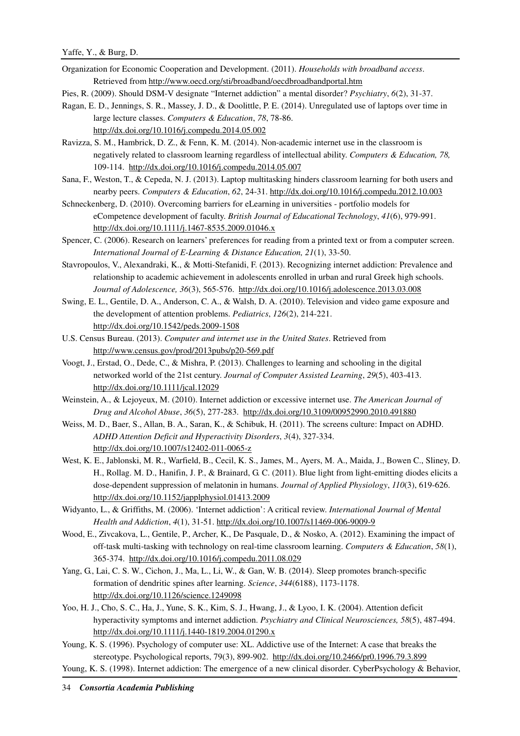- Organization for Economic Cooperation and Development. (2011). *Households with broadband access*. Retrieved from http://www.oecd.org/sti/broadband/oecdbroadbandportal.htm
- Pies, R. (2009). Should DSM-V designate "Internet addiction" a mental disorder? *Psychiatry*, *6*(2), 31-37.
- Ragan, E. D., Jennings, S. R., Massey, J. D., & Doolittle, P. E. (2014). Unregulated use of laptops over time in large lecture classes. *Computers & Education*, *78*, 78-86. http://dx.doi.org/10.1016/j.compedu.2014.05.002
- Ravizza, S. M., Hambrick, D. Z., & Fenn, K. M. (2014). Non-academic internet use in the classroom is negatively related to classroom learning regardless of intellectual ability. *Computers & Education, 78,*  109-114. http://dx.doi.org/10.1016/j.compedu.2014.05.007
- Sana, F., Weston, T., & Cepeda, N. J. (2013). Laptop multitasking hinders classroom learning for both users and nearby peers. *Computers & Education*, *62*, 24-31. http://dx.doi.org/10.1016/j.compedu.2012.10.003
- Schneckenberg, D. (2010). Overcoming barriers for eLearning in universities portfolio models for eCompetence development of faculty. *British Journal of Educational Technology*, *41*(6), 979-991. http://dx.doi.org/10.1111/j.1467-8535.2009.01046.x
- Spencer, C. (2006). Research on learners' preferences for reading from a printed text or from a computer screen. *International Journal of E-Learning & Distance Education, 21*(1), 33-50.
- Stavropoulos, V., Alexandraki, K., & Motti-Stefanidi, F. (2013). Recognizing internet addiction: Prevalence and relationship to academic achievement in adolescents enrolled in urban and rural Greek high schools. *Journal of Adolescence, 36*(3), 565-576. http://dx.doi.org/10.1016/j.adolescence.2013.03.008
- Swing, E. L., Gentile, D. A., Anderson, C. A., & Walsh, D. A. (2010). Television and video game exposure and the development of attention problems. *Pediatrics*, *126*(2), 214-221. http://dx.doi.org/10.1542/peds.2009-1508
- U.S. Census Bureau. (2013). *Computer and internet use in the United States*. Retrieved from http://www.census.gov/prod/2013pubs/p20-569.pdf
- Voogt, J., Erstad, O., Dede, C., & Mishra, P. (2013). Challenges to learning and schooling in the digital networked world of the 21st century. *Journal of Computer Assisted Learning*, *29*(5), 403-413. http://dx.doi.org/10.1111/jcal.12029
- Weinstein, A., & Lejoyeux, M. (2010). Internet addiction or excessive internet use. *The American Journal of Drug and Alcohol Abuse*, *36*(5), 277-283. http://dx.doi.org/10.3109/00952990.2010.491880
- Weiss, M. D., Baer, S., Allan, B. A., Saran, K., & Schibuk, H. (2011). The screens culture: Impact on ADHD. *ADHD Attention Deficit and Hyperactivity Disorders*, *3*(4), 327-334. http://dx.doi.org/10.1007/s12402-011-0065-z
- West, K. E., Jablonski, M. R., Warfield, B., Cecil, K. S., James, M., Ayers, M. A., Maida, J., Bowen C., Sliney, D. H., Rollag. M. D., Hanifin, J. P., & Brainard, G. C. (2011). Blue light from light-emitting diodes elicits a dose-dependent suppression of melatonin in humans. *Journal of Applied Physiology*, *110*(3), 619-626. http://dx.doi.org/10.1152/japplphysiol.01413.2009
- Widyanto, L., & Griffiths, M. (2006). 'Internet addiction': A critical review. *International Journal of Mental Health and Addiction*, *4*(1), 31-51. http://dx.doi.org/10.1007/s11469-006-9009-9
- Wood, E., Zivcakova, L., Gentile, P., Archer, K., De Pasquale, D., & Nosko, A. (2012). Examining the impact of off-task multi-tasking with technology on real-time classroom learning. *Computers & Education*, *58*(1), 365-374. http://dx.doi.org/10.1016/j.compedu.2011.08.029
- Yang, G., Lai, C. S. W., Cichon, J., Ma, L., Li, W., & Gan, W. B. (2014). Sleep promotes branch-specific formation of dendritic spines after learning. *Science*, *344*(6188), 1173-1178. http://dx.doi.org/10.1126/science.1249098
- Yoo, H. J., Cho, S. C., Ha, J., Yune, S. K., Kim, S. J., Hwang, J., & Lyoo, I. K. (2004). Attention deficit hyperactivity symptoms and internet addiction. *Psychiatry and Clinical Neurosciences, 58*(5), 487-494. http://dx.doi.org/10.1111/j.1440-1819.2004.01290.x
- Young, K. S. (1996). Psychology of computer use: XL. Addictive use of the Internet: A case that breaks the stereotype. Psychological reports, 79(3), 899-902. http://dx.doi.org/10.2466/pr0.1996.79.3.899
- Young, K. S. (1998). Internet addiction: The emergence of a new clinical disorder. CyberPsychology & Behavior,